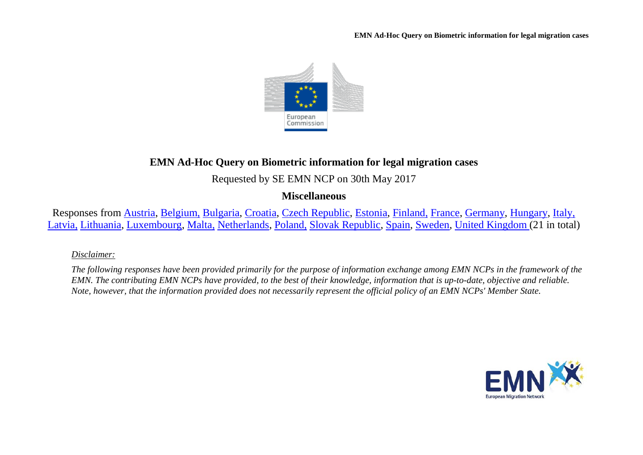

# **EMN Ad-Hoc Query on Biometric information for legal migration cases**

Requested by SE EMN NCP on 30th May 2017

## **Miscellaneous**

Responses from [Austria,](#page-1-0) [Belgium,](#page-1-1) [Bulgaria,](#page-2-0) [Croatia,](#page-2-1) [Czech Republic,](#page-3-0) [Estonia,](#page-3-1) [Finland,](#page-3-2) [France,](#page-4-0) [Germany,](#page-5-0) [Hungary,](#page-6-0) [Italy,](#page-7-0)  [Latvia,](#page-7-1) [Lithuania,](#page-8-0) [Luxembourg,](#page-9-0) [Malta,](#page-10-0) [Netherlands,](#page-10-1) [Poland,](#page-11-0) [Slovak Republic,](#page-12-0) [Spain,](#page-13-0) [Sweden,](#page-13-1) [United Kingdom \(](#page-14-0)21 in total)

### *Disclaimer:*

*The following responses have been provided primarily for the purpose of information exchange among EMN NCPs in the framework of the EMN. The contributing EMN NCPs have provided, to the best of their knowledge, information that is up-to-date, objective and reliable. Note, however, that the information provided does not necessarily represent the official policy of an EMN NCPs' Member State.*

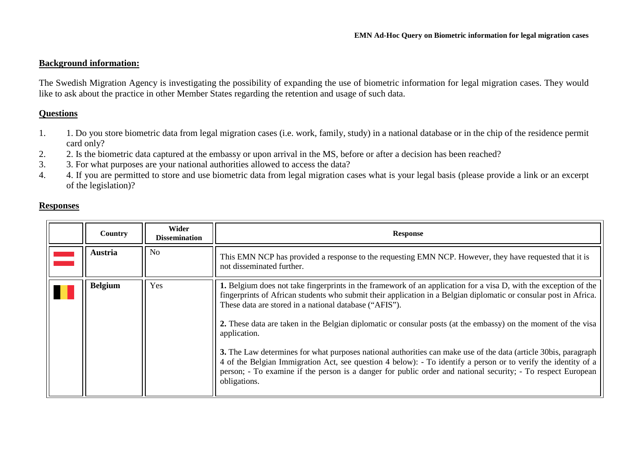#### **Background information:**

The Swedish Migration Agency is investigating the possibility of expanding the use of biometric information for legal migration cases. They would like to ask about the practice in other Member States regarding the retention and usage of such data.

#### **Questions**

- 1. 1. Do you store biometric data from legal migration cases (i.e. work, family, study) in a national database or in the chip of the residence permit card only?
- 2. 2. Is the biometric data captured at the embassy or upon arrival in the MS, before or after a decision has been reached?<br>3. 3. For what purposes are your national authorities allowed to access the data?
- 3. 3. For what purposes are your national authorities allowed to access the data?
- 4. 4. If you are permitted to store and use biometric data from legal migration cases what is your legal basis (please provide a link or an excerpt of the legislation)?

#### **Responses**

<span id="page-1-1"></span><span id="page-1-0"></span>

| Country        | Wider<br><b>Dissemination</b> | <b>Response</b>                                                                                                                                                                                                                                                                                                                                                                                                                                                                                                                                                                                                                                                                                                                                                                                        |
|----------------|-------------------------------|--------------------------------------------------------------------------------------------------------------------------------------------------------------------------------------------------------------------------------------------------------------------------------------------------------------------------------------------------------------------------------------------------------------------------------------------------------------------------------------------------------------------------------------------------------------------------------------------------------------------------------------------------------------------------------------------------------------------------------------------------------------------------------------------------------|
| <b>Austria</b> | N <sub>o</sub>                | This EMN NCP has provided a response to the requesting EMN NCP. However, they have requested that it is<br>not disseminated further.                                                                                                                                                                                                                                                                                                                                                                                                                                                                                                                                                                                                                                                                   |
| <b>Belgium</b> | Yes                           | 1. Belgium does not take fingerprints in the framework of an application for a visa D, with the exception of the<br>fingerprints of African students who submit their application in a Belgian diplomatic or consular post in Africa.<br>These data are stored in a national database ("AFIS").<br>2. These data are taken in the Belgian diplomatic or consular posts (at the embassy) on the moment of the visa<br>application.<br>3. The Law determines for what purposes national authorities can make use of the data (article 30bis, paragraph<br>4 of the Belgian Immigration Act, see question 4 below): - To identify a person or to verify the identity of a<br>person; - To examine if the person is a danger for public order and national security; - To respect European<br>obligations. |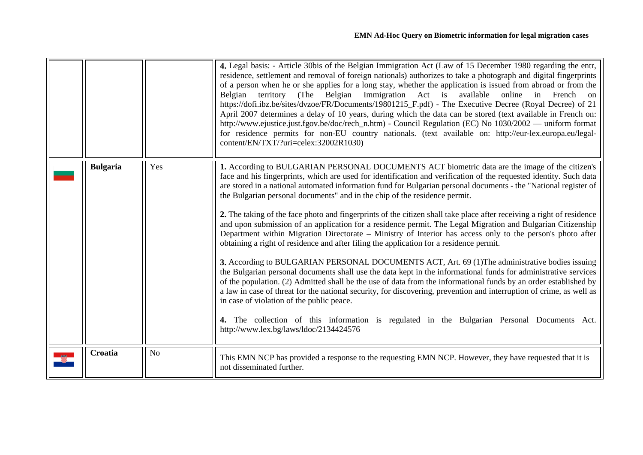<span id="page-2-1"></span><span id="page-2-0"></span>

|                 |                | 4. Legal basis: - Article 30bis of the Belgian Immigration Act (Law of 15 December 1980 regarding the entr,<br>residence, settlement and removal of foreign nationals) authorizes to take a photograph and digital fingerprints<br>of a person when he or she applies for a long stay, whether the application is issued from abroad or from the<br>territory (The Belgian Immigration Act is available online<br>Belgian<br>in French on<br>https://dofi.ibz.be/sites/dvzoe/FR/Documents/19801215_F.pdf) - The Executive Decree (Royal Decree) of 21<br>April 2007 determines a delay of 10 years, during which the data can be stored (text available in French on:<br>http://www.ejustice.just.fgov.be/doc/rech_n.htm) - Council Regulation (EC) No 1030/2002 — uniform format<br>for residence permits for non-EU country nationals. (text available on: http://eur-lex.europa.eu/legal-<br>content/EN/TXT/?uri=celex:32002R1030)                                                                                                                                                                                                                                                                                                                                                                                                                                                                                                                                                                                           |
|-----------------|----------------|---------------------------------------------------------------------------------------------------------------------------------------------------------------------------------------------------------------------------------------------------------------------------------------------------------------------------------------------------------------------------------------------------------------------------------------------------------------------------------------------------------------------------------------------------------------------------------------------------------------------------------------------------------------------------------------------------------------------------------------------------------------------------------------------------------------------------------------------------------------------------------------------------------------------------------------------------------------------------------------------------------------------------------------------------------------------------------------------------------------------------------------------------------------------------------------------------------------------------------------------------------------------------------------------------------------------------------------------------------------------------------------------------------------------------------------------------------------------------------------------------------------------------------|
| <b>Bulgaria</b> | Yes            | 1. According to BULGARIAN PERSONAL DOCUMENTS ACT biometric data are the image of the citizen's<br>face and his fingerprints, which are used for identification and verification of the requested identity. Such data<br>are stored in a national automated information fund for Bulgarian personal documents - the "National register of<br>the Bulgarian personal documents" and in the chip of the residence permit.<br>2. The taking of the face photo and fingerprints of the citizen shall take place after receiving a right of residence<br>and upon submission of an application for a residence permit. The Legal Migration and Bulgarian Citizenship<br>Department within Migration Directorate – Ministry of Interior has access only to the person's photo after<br>obtaining a right of residence and after filing the application for a residence permit.<br>3. According to BULGARIAN PERSONAL DOCUMENTS ACT, Art. 69 (1) The administrative bodies issuing<br>the Bulgarian personal documents shall use the data kept in the informational funds for administrative services<br>of the population. (2) Admitted shall be the use of data from the informational funds by an order established by<br>a law in case of threat for the national security, for discovering, prevention and interruption of crime, as well as<br>in case of violation of the public peace.<br>4. The collection of this information is regulated in the Bulgarian Personal Documents Act.<br>http://www.lex.bg/laws/ldoc/2134424576 |
| Croatia         | N <sub>o</sub> | This EMN NCP has provided a response to the requesting EMN NCP. However, they have requested that it is<br>not disseminated further.                                                                                                                                                                                                                                                                                                                                                                                                                                                                                                                                                                                                                                                                                                                                                                                                                                                                                                                                                                                                                                                                                                                                                                                                                                                                                                                                                                                            |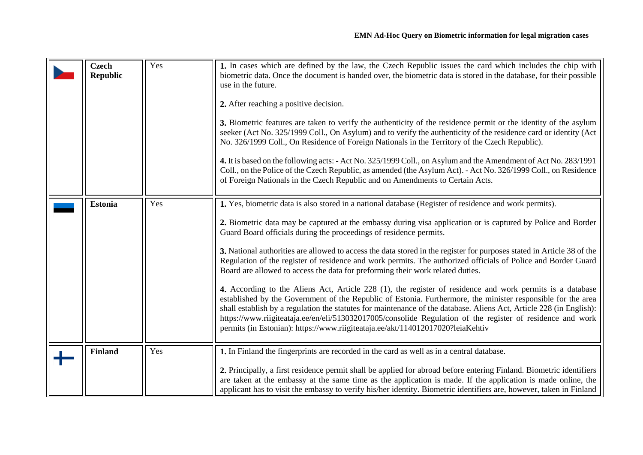<span id="page-3-2"></span><span id="page-3-1"></span><span id="page-3-0"></span>

| <b>Czech</b><br><b>Republic</b> | Yes | 1. In cases which are defined by the law, the Czech Republic issues the card which includes the chip with<br>biometric data. Once the document is handed over, the biometric data is stored in the database, for their possible<br>use in the future.<br>2. After reaching a positive decision.<br>3. Biometric features are taken to verify the authenticity of the residence permit or the identity of the asylum<br>seeker (Act No. 325/1999 Coll., On Asylum) and to verify the authenticity of the residence card or identity (Act<br>No. 326/1999 Coll., On Residence of Foreign Nationals in the Territory of the Czech Republic).<br>4. It is based on the following acts: - Act No. 325/1999 Coll., on Asylum and the Amendment of Act No. 283/1991<br>Coll., on the Police of the Czech Republic, as amended (the Asylum Act). - Act No. 326/1999 Coll., on Residence<br>of Foreign Nationals in the Czech Republic and on Amendments to Certain Acts.                                                                                                                                                                                                              |
|---------------------------------|-----|-------------------------------------------------------------------------------------------------------------------------------------------------------------------------------------------------------------------------------------------------------------------------------------------------------------------------------------------------------------------------------------------------------------------------------------------------------------------------------------------------------------------------------------------------------------------------------------------------------------------------------------------------------------------------------------------------------------------------------------------------------------------------------------------------------------------------------------------------------------------------------------------------------------------------------------------------------------------------------------------------------------------------------------------------------------------------------------------------------------------------------------------------------------------------------|
| <b>Estonia</b>                  | Yes | 1. Yes, biometric data is also stored in a national database (Register of residence and work permits).<br>2. Biometric data may be captured at the embassy during visa application or is captured by Police and Border<br>Guard Board officials during the proceedings of residence permits.<br>3. National authorities are allowed to access the data stored in the register for purposes stated in Article 38 of the<br>Regulation of the register of residence and work permits. The authorized officials of Police and Border Guard<br>Board are allowed to access the data for preforming their work related duties.<br>4. According to the Aliens Act, Article 228 (1), the register of residence and work permits is a database<br>established by the Government of the Republic of Estonia. Furthermore, the minister responsible for the area<br>shall establish by a regulation the statutes for maintenance of the database. Aliens Act, Article 228 (in English):<br>https://www.riigiteataja.ee/en/eli/513032017005/consolide Regulation of the register of residence and work<br>permits (in Estonian): https://www.riigiteataja.ee/akt/114012017020?leiaKehtiv |
| <b>Finland</b>                  | Yes | 1. In Finland the fingerprints are recorded in the card as well as in a central database.<br>2. Principally, a first residence permit shall be applied for abroad before entering Finland. Biometric identifiers<br>are taken at the embassy at the same time as the application is made. If the application is made online, the<br>applicant has to visit the embassy to verify his/her identity. Biometric identifiers are, however, taken in Finland                                                                                                                                                                                                                                                                                                                                                                                                                                                                                                                                                                                                                                                                                                                       |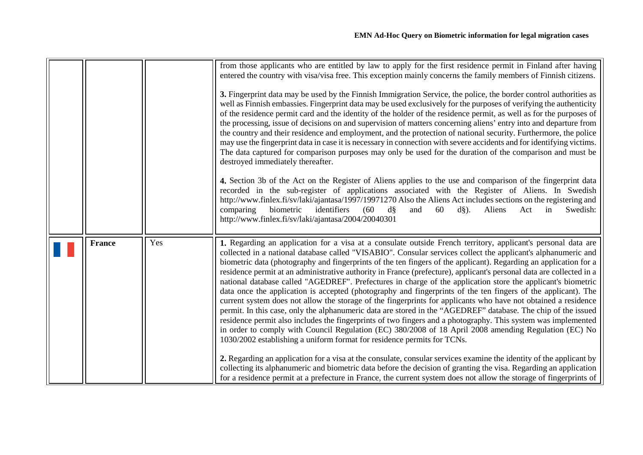<span id="page-4-0"></span>

|               |     | from those applicants who are entitled by law to apply for the first residence permit in Finland after having<br>entered the country with visa/visa free. This exception mainly concerns the family members of Finnish citizens.<br>3. Fingerprint data may be used by the Finnish Immigration Service, the police, the border control authorities as<br>well as Finnish embassies. Fingerprint data may be used exclusively for the purposes of verifying the authenticity<br>of the residence permit card and the identity of the holder of the residence permit, as well as for the purposes of<br>the processing, issue of decisions on and supervision of matters concerning aliens' entry into and departure from<br>the country and their residence and employment, and the protection of national security. Furthermore, the police<br>may use the fingerprint data in case it is necessary in connection with severe accidents and for identifying victims.<br>The data captured for comparison purposes may only be used for the duration of the comparison and must be<br>destroyed immediately thereafter.<br>4. Section 3b of the Act on the Register of Aliens applies to the use and comparison of the fingerprint data<br>recorded in the sub-register of applications associated with the Register of Aliens. In Swedish<br>http://www.finlex.fi/sv/laki/ajantasa/1997/19971270 Also the Aliens Act includes sections on the registering and<br>biometric<br>identifiers<br>(60)<br>$d\hat{S}$<br>Aliens<br>comparing<br>and<br>60<br>$d\S$ ).<br>Act<br>in<br>Swedish:<br>http://www.finlex.fi/sv/laki/ajantasa/2004/20040301 |
|---------------|-----|-------------------------------------------------------------------------------------------------------------------------------------------------------------------------------------------------------------------------------------------------------------------------------------------------------------------------------------------------------------------------------------------------------------------------------------------------------------------------------------------------------------------------------------------------------------------------------------------------------------------------------------------------------------------------------------------------------------------------------------------------------------------------------------------------------------------------------------------------------------------------------------------------------------------------------------------------------------------------------------------------------------------------------------------------------------------------------------------------------------------------------------------------------------------------------------------------------------------------------------------------------------------------------------------------------------------------------------------------------------------------------------------------------------------------------------------------------------------------------------------------------------------------------------------------------------------------------------------------------------------------------------------------|
| <b>France</b> | Yes | 1. Regarding an application for a visa at a consulate outside French territory, applicant's personal data are<br>collected in a national database called "VISABIO". Consular services collect the applicant's alphanumeric and<br>biometric data (photography and fingerprints of the ten fingers of the applicant). Regarding an application for a<br>residence permit at an administrative authority in France (prefecture), applicant's personal data are collected in a<br>national database called "AGEDREF". Prefectures in charge of the application store the applicant's biometric<br>data once the application is accepted (photography and fingerprints of the ten fingers of the applicant). The<br>current system does not allow the storage of the fingerprints for applicants who have not obtained a residence<br>permit. In this case, only the alphanumeric data are stored in the "AGEDREF" database. The chip of the issued<br>residence permit also includes the fingerprints of two fingers and a photography. This system was implemented<br>in order to comply with Council Regulation (EC) 380/2008 of 18 April 2008 amending Regulation (EC) No<br>1030/2002 establishing a uniform format for residence permits for TCNs.<br>2. Regarding an application for a visa at the consulate, consular services examine the identity of the applicant by<br>collecting its alphanumeric and biometric data before the decision of granting the visa. Regarding an application<br>for a residence permit at a prefecture in France, the current system does not allow the storage of fingerprints of                          |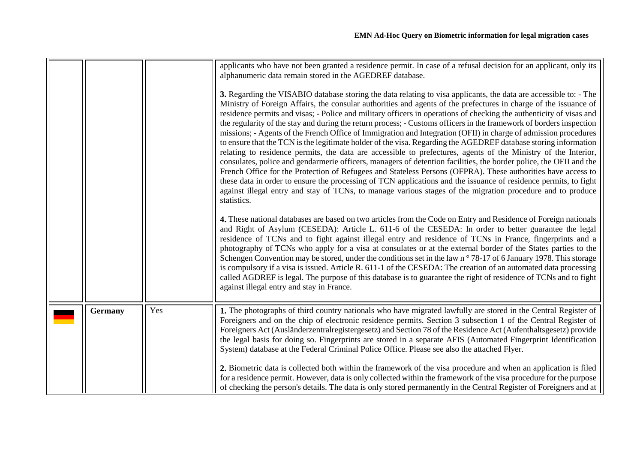<span id="page-5-0"></span>

|                |     | applicants who have not been granted a residence permit. In case of a refusal decision for an applicant, only its<br>alphanumeric data remain stored in the AGEDREF database.<br>3. Regarding the VISABIO database storing the data relating to visa applicants, the data are accessible to: - The<br>Ministry of Foreign Affairs, the consular authorities and agents of the prefectures in charge of the issuance of<br>residence permits and visas; - Police and military officers in operations of checking the authenticity of visas and<br>the regularity of the stay and during the return process; - Customs officers in the framework of borders inspection<br>missions; - Agents of the French Office of Immigration and Integration (OFII) in charge of admission procedures<br>to ensure that the TCN is the legitimate holder of the visa. Regarding the AGEDREF database storing information<br>relating to residence permits, the data are accessible to prefectures, agents of the Ministry of the Interior,<br>consulates, police and gendarmerie officers, managers of detention facilities, the border police, the OFII and the<br>French Office for the Protection of Refugees and Stateless Persons (OFPRA). These authorities have access to<br>these data in order to ensure the processing of TCN applications and the issuance of residence permits, to fight<br>against illegal entry and stay of TCNs, to manage various stages of the migration procedure and to produce<br>statistics.<br>4. These national databases are based on two articles from the Code on Entry and Residence of Foreign nationals<br>and Right of Asylum (CESEDA): Article L. 611-6 of the CESEDA: In order to better guarantee the legal<br>residence of TCNs and to fight against illegal entry and residence of TCNs in France, fingerprints and a<br>photography of TCNs who apply for a visa at consulates or at the external border of the States parties to the<br>Schengen Convention may be stored, under the conditions set in the law n°78-17 of 6 January 1978. This storage<br>is compulsory if a visa is issued. Article R. 611-1 of the CESEDA: The creation of an automated data processing<br>called AGDREF is legal. The purpose of this database is to guarantee the right of residence of TCNs and to fight<br>against illegal entry and stay in France. |
|----------------|-----|-----------------------------------------------------------------------------------------------------------------------------------------------------------------------------------------------------------------------------------------------------------------------------------------------------------------------------------------------------------------------------------------------------------------------------------------------------------------------------------------------------------------------------------------------------------------------------------------------------------------------------------------------------------------------------------------------------------------------------------------------------------------------------------------------------------------------------------------------------------------------------------------------------------------------------------------------------------------------------------------------------------------------------------------------------------------------------------------------------------------------------------------------------------------------------------------------------------------------------------------------------------------------------------------------------------------------------------------------------------------------------------------------------------------------------------------------------------------------------------------------------------------------------------------------------------------------------------------------------------------------------------------------------------------------------------------------------------------------------------------------------------------------------------------------------------------------------------------------------------------------------------------------------------------------------------------------------------------------------------------------------------------------------------------------------------------------------------------------------------------------------------------------------------------------------------------------------------------------------------------------------------------------------------------------------------------------------------------------------------------------------------|
| <b>Germany</b> | Yes | 1. The photographs of third country nationals who have migrated lawfully are stored in the Central Register of<br>Foreigners and on the chip of electronic residence permits. Section 3 subsection 1 of the Central Register of<br>Foreigners Act (Ausländerzentralregistergesetz) and Section 78 of the Residence Act (Aufenthaltsgesetz) provide<br>the legal basis for doing so. Fingerprints are stored in a separate AFIS (Automated Fingerprint Identification<br>System) database at the Federal Criminal Police Office. Please see also the attached Flyer.<br>2. Biometric data is collected both within the framework of the visa procedure and when an application is filed<br>for a residence permit. However, data is only collected within the framework of the visa procedure for the purpose<br>of checking the person's details. The data is only stored permanently in the Central Register of Foreigners and at                                                                                                                                                                                                                                                                                                                                                                                                                                                                                                                                                                                                                                                                                                                                                                                                                                                                                                                                                                                                                                                                                                                                                                                                                                                                                                                                                                                                                                                |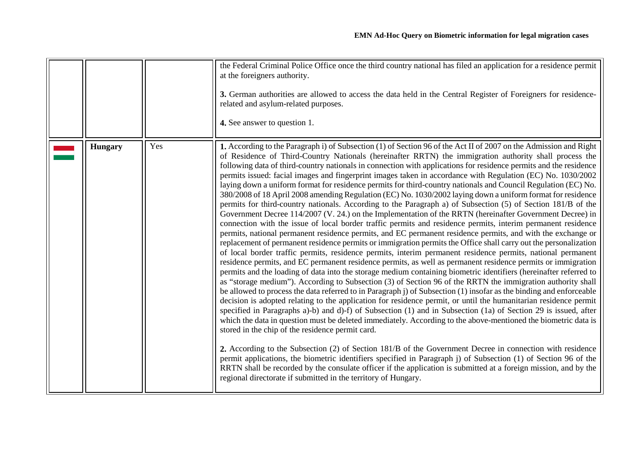<span id="page-6-0"></span>

|                |     | the Federal Criminal Police Office once the third country national has filed an application for a residence permit<br>at the foreigners authority.<br>3. German authorities are allowed to access the data held in the Central Register of Foreigners for residence-<br>related and asylum-related purposes.<br>4. See answer to question 1.                                                                                                                                                                                                                                                                                                                                                                                                                                                                                                                                                                                                                                                                                                                                                                                                                                                                                                                                                                                                                                                                                                                                                                                                                                                                                                                                                                                                                                                                                                                                                                                                                                                                                                                                                                                                                                                                                                                                                                                                                                                                                                                                                                                                                                                                                                                                                                  |
|----------------|-----|---------------------------------------------------------------------------------------------------------------------------------------------------------------------------------------------------------------------------------------------------------------------------------------------------------------------------------------------------------------------------------------------------------------------------------------------------------------------------------------------------------------------------------------------------------------------------------------------------------------------------------------------------------------------------------------------------------------------------------------------------------------------------------------------------------------------------------------------------------------------------------------------------------------------------------------------------------------------------------------------------------------------------------------------------------------------------------------------------------------------------------------------------------------------------------------------------------------------------------------------------------------------------------------------------------------------------------------------------------------------------------------------------------------------------------------------------------------------------------------------------------------------------------------------------------------------------------------------------------------------------------------------------------------------------------------------------------------------------------------------------------------------------------------------------------------------------------------------------------------------------------------------------------------------------------------------------------------------------------------------------------------------------------------------------------------------------------------------------------------------------------------------------------------------------------------------------------------------------------------------------------------------------------------------------------------------------------------------------------------------------------------------------------------------------------------------------------------------------------------------------------------------------------------------------------------------------------------------------------------------------------------------------------------------------------------------------------------|
| <b>Hungary</b> | Yes | 1. According to the Paragraph i) of Subsection (1) of Section 96 of the Act II of 2007 on the Admission and Right<br>of Residence of Third-Country Nationals (hereinafter RRTN) the immigration authority shall process the<br>following data of third-country nationals in connection with applications for residence permits and the residence<br>permits issued: facial images and fingerprint images taken in accordance with Regulation (EC) No. 1030/2002<br>laying down a uniform format for residence permits for third-country nationals and Council Regulation (EC) No.<br>380/2008 of 18 April 2008 amending Regulation (EC) No. 1030/2002 laying down a uniform format for residence<br>permits for third-country nationals. According to the Paragraph a) of Subsection (5) of Section 181/B of the<br>Government Decree 114/2007 (V. 24.) on the Implementation of the RRTN (hereinafter Government Decree) in<br>connection with the issue of local border traffic permits and residence permits, interim permanent residence<br>permits, national permanent residence permits, and EC permanent residence permits, and with the exchange or<br>replacement of permanent residence permits or immigration permits the Office shall carry out the personalization<br>of local border traffic permits, residence permits, interim permanent residence permits, national permanent<br>residence permits, and EC permanent residence permits, as well as permanent residence permits or immigration<br>permits and the loading of data into the storage medium containing biometric identifiers (hereinafter referred to<br>as "storage medium"). According to Subsection (3) of Section 96 of the RRTN the immigration authority shall<br>be allowed to process the data referred to in Paragraph (i) of Subsection (1) insofar as the binding and enforceable<br>decision is adopted relating to the application for residence permit, or until the humanitarian residence permit<br>specified in Paragraphs a)-b) and d)-f) of Subsection (1) and in Subsection (1a) of Section 29 is issued, after<br>which the data in question must be deleted immediately. According to the above-mentioned the biometric data is<br>stored in the chip of the residence permit card.<br>2. According to the Subsection (2) of Section 181/B of the Government Decree in connection with residence<br>permit applications, the biometric identifiers specified in Paragraph j) of Subsection (1) of Section 96 of the<br>RRTN shall be recorded by the consulate officer if the application is submitted at a foreign mission, and by the<br>regional directorate if submitted in the territory of Hungary. |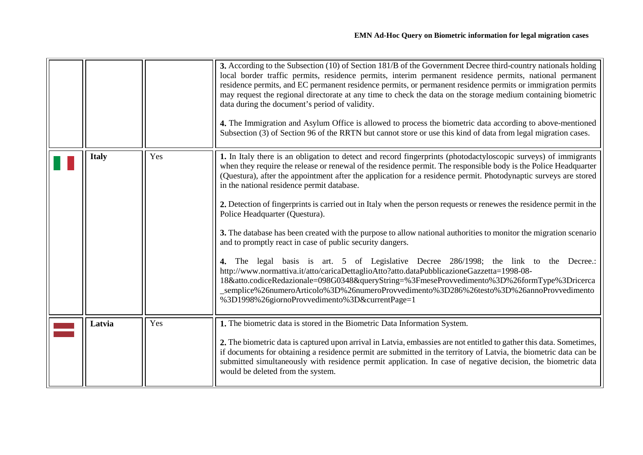<span id="page-7-1"></span><span id="page-7-0"></span>

|              |     | 3. According to the Subsection (10) of Section 181/B of the Government Decree third-country nationals holding<br>local border traffic permits, residence permits, interim permanent residence permits, national permanent<br>residence permits, and EC permanent residence permits, or permanent residence permits or immigration permits<br>may request the regional directorate at any time to check the data on the storage medium containing biometric<br>data during the document's period of validity.<br>4. The Immigration and Asylum Office is allowed to process the biometric data according to above-mentioned<br>Subsection (3) of Section 96 of the RRTN but cannot store or use this kind of data from legal migration cases.                                                                                                                                                                                                                                                                                                                                                                                                                                         |
|--------------|-----|--------------------------------------------------------------------------------------------------------------------------------------------------------------------------------------------------------------------------------------------------------------------------------------------------------------------------------------------------------------------------------------------------------------------------------------------------------------------------------------------------------------------------------------------------------------------------------------------------------------------------------------------------------------------------------------------------------------------------------------------------------------------------------------------------------------------------------------------------------------------------------------------------------------------------------------------------------------------------------------------------------------------------------------------------------------------------------------------------------------------------------------------------------------------------------------|
| <b>Italy</b> | Yes | 1. In Italy there is an obligation to detect and record fingerprints (photodactyloscopic surveys) of immigrants<br>when they require the release or renewal of the residence permit. The responsible body is the Police Headquarter<br>(Questura), after the appointment after the application for a residence permit. Photodynaptic surveys are stored<br>in the national residence permit database.<br>2. Detection of fingerprints is carried out in Italy when the person requests or renewes the residence permit in the<br>Police Headquarter (Questura).<br>3. The database has been created with the purpose to allow national authorities to monitor the migration scenario<br>and to promptly react in case of public security dangers.<br>4. The legal basis is art. 5 of Legislative Decree 286/1998; the link to the Decree.:<br>http://www.normattiva.it/atto/caricaDettaglioAtto?atto.dataPubblicazioneGazzetta=1998-08-<br>18&atto.codiceRedazionale=098G0348&queryString=%3FmeseProvvedimento%3D%26formType%3Dricerca<br>_semplice%26numeroArticolo%3D%26numeroProvvedimento%3D286%26testo%3D%26annoProvvedimento<br>%3D1998%26giornoProvvedimento%3D&currentPage=1 |
| Latvia       | Yes | 1. The biometric data is stored in the Biometric Data Information System.<br>2. The biometric data is captured upon arrival in Latvia, embassies are not entitled to gather this data. Sometimes,<br>if documents for obtaining a residence permit are submitted in the territory of Latvia, the biometric data can be<br>submitted simultaneously with residence permit application. In case of negative decision, the biometric data<br>would be deleted from the system.                                                                                                                                                                                                                                                                                                                                                                                                                                                                                                                                                                                                                                                                                                          |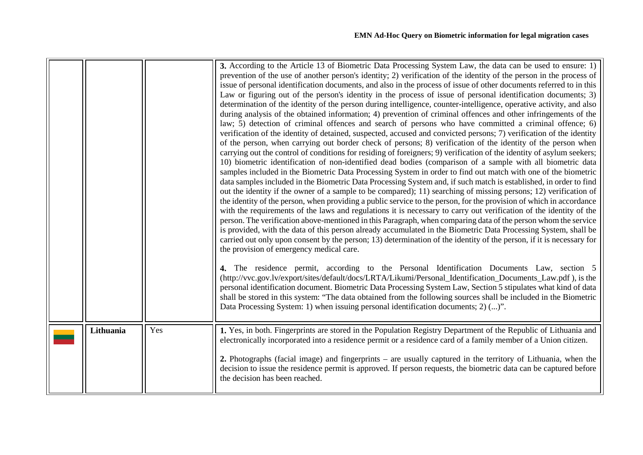<span id="page-8-0"></span>

|           |     | 3. According to the Article 13 of Biometric Data Processing System Law, the data can be used to ensure: 1)<br>prevention of the use of another person's identity; 2) verification of the identity of the person in the process of<br>issue of personal identification documents, and also in the process of issue of other documents referred to in this<br>Law or figuring out of the person's identity in the process of issue of personal identification documents; 3)<br>determination of the identity of the person during intelligence, counter-intelligence, operative activity, and also<br>during analysis of the obtained information; 4) prevention of criminal offences and other infringements of the<br>law; 5) detection of criminal offences and search of persons who have committed a criminal offence; 6)<br>verification of the identity of detained, suspected, accused and convicted persons; 7) verification of the identity<br>of the person, when carrying out border check of persons; 8) verification of the identity of the person when<br>carrying out the control of conditions for residing of foreigners; 9) verification of the identity of asylum seekers;<br>10) biometric identification of non-identified dead bodies (comparison of a sample with all biometric data<br>samples included in the Biometric Data Processing System in order to find out match with one of the biometric<br>data samples included in the Biometric Data Processing System and, if such match is established, in order to find<br>out the identity if the owner of a sample to be compared); 11) searching of missing persons; 12) verification of<br>the identity of the person, when providing a public service to the person, for the provision of which in accordance<br>with the requirements of the laws and regulations it is necessary to carry out verification of the identity of the<br>person. The verification above-mentioned in this Paragraph, when comparing data of the person whom the service<br>is provided, with the data of this person already accumulated in the Biometric Data Processing System, shall be<br>carried out only upon consent by the person; 13) determination of the identity of the person, if it is necessary for<br>the provision of emergency medical care.<br>4. The residence permit, according to the Personal Identification Documents Law, section 5<br>(http://vvc.gov.lv/export/sites/default/docs/LRTA/Likumi/Personal_Identification_Documents_Law.pdf), is the<br>personal identification document. Biometric Data Processing System Law, Section 5 stipulates what kind of data<br>shall be stored in this system: "The data obtained from the following sources shall be included in the Biometric<br>Data Processing System: 1) when issuing personal identification documents; 2) ()". |
|-----------|-----|---------------------------------------------------------------------------------------------------------------------------------------------------------------------------------------------------------------------------------------------------------------------------------------------------------------------------------------------------------------------------------------------------------------------------------------------------------------------------------------------------------------------------------------------------------------------------------------------------------------------------------------------------------------------------------------------------------------------------------------------------------------------------------------------------------------------------------------------------------------------------------------------------------------------------------------------------------------------------------------------------------------------------------------------------------------------------------------------------------------------------------------------------------------------------------------------------------------------------------------------------------------------------------------------------------------------------------------------------------------------------------------------------------------------------------------------------------------------------------------------------------------------------------------------------------------------------------------------------------------------------------------------------------------------------------------------------------------------------------------------------------------------------------------------------------------------------------------------------------------------------------------------------------------------------------------------------------------------------------------------------------------------------------------------------------------------------------------------------------------------------------------------------------------------------------------------------------------------------------------------------------------------------------------------------------------------------------------------------------------------------------------------------------------------------------------------------------------------------------------------------------------------------------------------------------------------------------------------------------------------------------------------------------------------------------------------------------------------------------------------------------------------------------------------------------------------------------------------------------------------|
| Lithuania | Yes | 1. Yes, in both. Fingerprints are stored in the Population Registry Department of the Republic of Lithuania and<br>electronically incorporated into a residence permit or a residence card of a family member of a Union citizen.<br>2. Photographs (facial image) and fingerprints – are usually captured in the territory of Lithuania, when the<br>decision to issue the residence permit is approved. If person requests, the biometric data can be captured before<br>the decision has been reached.                                                                                                                                                                                                                                                                                                                                                                                                                                                                                                                                                                                                                                                                                                                                                                                                                                                                                                                                                                                                                                                                                                                                                                                                                                                                                                                                                                                                                                                                                                                                                                                                                                                                                                                                                                                                                                                                                                                                                                                                                                                                                                                                                                                                                                                                                                                                                           |
|           |     |                                                                                                                                                                                                                                                                                                                                                                                                                                                                                                                                                                                                                                                                                                                                                                                                                                                                                                                                                                                                                                                                                                                                                                                                                                                                                                                                                                                                                                                                                                                                                                                                                                                                                                                                                                                                                                                                                                                                                                                                                                                                                                                                                                                                                                                                                                                                                                                                                                                                                                                                                                                                                                                                                                                                                                                                                                                                     |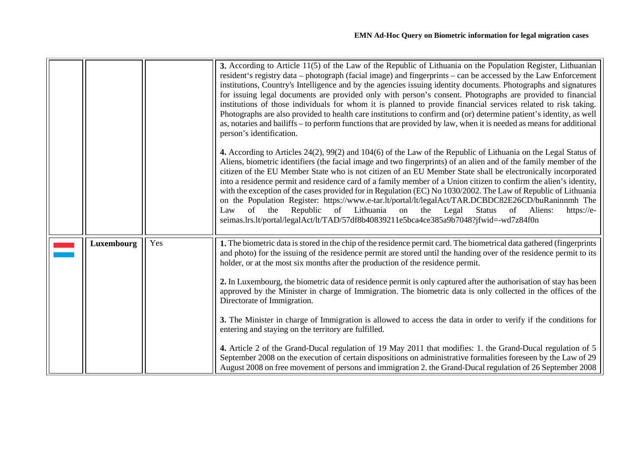<span id="page-9-0"></span>

|            |     | 3. According to Article 11(5) of the Law of the Republic of Lithuania on the Population Register, Lithuanian<br>resident's registry data – photograph (facial image) and fingerprints – can be accessed by the Law Enforcement<br>institutions, Country's Intelligence and by the agencies issuing identity documents. Photographs and signatures<br>for issuing legal documents are provided only with person's consent. Photographs are provided to financial<br>institutions of those individuals for whom it is planned to provide financial services related to risk taking.<br>Photographs are also provided to health care institutions to confirm and (or) determine patient's identity, as well<br>as, notaries and bailiffs – to perform functions that are provided by law, when it is needed as means for additional<br>person's identification.<br>4. According to Articles 24(2), 99(2) and 104(6) of the Law of the Republic of Lithuania on the Legal Status of<br>Aliens, biometric identifiers (the facial image and two fingerprints) of an alien and of the family member of the<br>citizen of the EU Member State who is not citizen of an EU Member State shall be electronically incorporated<br>into a residence permit and residence card of a family member of a Union citizen to confirm the alien's identity,<br>with the exception of the cases provided for in Regulation (EC) No 1030/2002. The Law of Republic of Lithuania<br>on the Population Register: https://www.e-tar.lt/portal/lt/legalAct/TAR.DCBDC82E26CD/buRaninnmh The<br>Lithuania<br>of<br>the<br>Republic<br>of<br>the<br>Legal<br>Aliens:<br>on<br><b>Status</b><br>of<br>Law<br>https://e- |
|------------|-----|---------------------------------------------------------------------------------------------------------------------------------------------------------------------------------------------------------------------------------------------------------------------------------------------------------------------------------------------------------------------------------------------------------------------------------------------------------------------------------------------------------------------------------------------------------------------------------------------------------------------------------------------------------------------------------------------------------------------------------------------------------------------------------------------------------------------------------------------------------------------------------------------------------------------------------------------------------------------------------------------------------------------------------------------------------------------------------------------------------------------------------------------------------------------------------------------------------------------------------------------------------------------------------------------------------------------------------------------------------------------------------------------------------------------------------------------------------------------------------------------------------------------------------------------------------------------------------------------------------------------------------------------------------------------------------------------|
|            |     | seimas.lrs.lt/portal/legalAct/lt/TAD/57df8b40839211e5bca4ce385a9b7048?jfwid=-wd7z84f0n                                                                                                                                                                                                                                                                                                                                                                                                                                                                                                                                                                                                                                                                                                                                                                                                                                                                                                                                                                                                                                                                                                                                                                                                                                                                                                                                                                                                                                                                                                                                                                                                      |
|            |     |                                                                                                                                                                                                                                                                                                                                                                                                                                                                                                                                                                                                                                                                                                                                                                                                                                                                                                                                                                                                                                                                                                                                                                                                                                                                                                                                                                                                                                                                                                                                                                                                                                                                                             |
| Luxembourg | Yes | 1. The biometric data is stored in the chip of the residence permit card. The biometrical data gathered (fingerprints<br>and photo) for the issuing of the residence permit are stored until the handing over of the residence permit to its<br>holder, or at the most six months after the production of the residence permit.                                                                                                                                                                                                                                                                                                                                                                                                                                                                                                                                                                                                                                                                                                                                                                                                                                                                                                                                                                                                                                                                                                                                                                                                                                                                                                                                                             |
|            |     | 2. In Luxembourg, the biometric data of residence permit is only captured after the authorisation of stay has been<br>approved by the Minister in charge of Immigration. The biometric data is only collected in the offices of the<br>Directorate of Immigration.                                                                                                                                                                                                                                                                                                                                                                                                                                                                                                                                                                                                                                                                                                                                                                                                                                                                                                                                                                                                                                                                                                                                                                                                                                                                                                                                                                                                                          |
|            |     | 3. The Minister in charge of Immigration is allowed to access the data in order to verify if the conditions for<br>entering and staying on the territory are fulfilled.                                                                                                                                                                                                                                                                                                                                                                                                                                                                                                                                                                                                                                                                                                                                                                                                                                                                                                                                                                                                                                                                                                                                                                                                                                                                                                                                                                                                                                                                                                                     |
|            |     | 4. Article 2 of the Grand-Ducal regulation of 19 May 2011 that modifies: 1. the Grand-Ducal regulation of 5<br>September 2008 on the execution of certain dispositions on administrative formalities foreseen by the Law of 29<br>August 2008 on free movement of persons and immigration 2. the Grand-Ducal regulation of 26 September 2008                                                                                                                                                                                                                                                                                                                                                                                                                                                                                                                                                                                                                                                                                                                                                                                                                                                                                                                                                                                                                                                                                                                                                                                                                                                                                                                                                |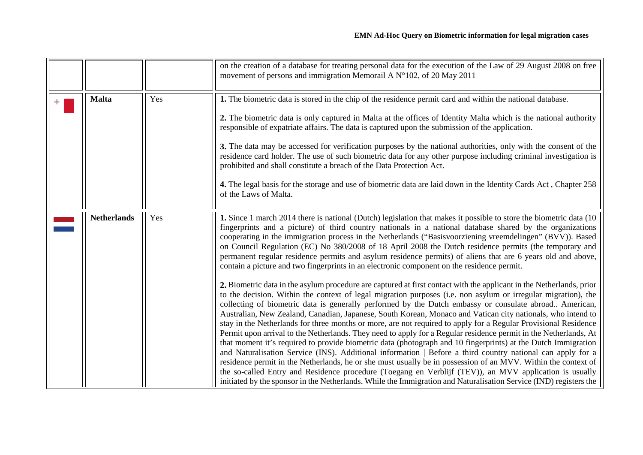<span id="page-10-1"></span><span id="page-10-0"></span>

|                    |     | on the creation of a database for treating personal data for the execution of the Law of 29 August 2008 on free<br>movement of persons and immigration Memorail A $N^{\circ}102$ , of 20 May 2011                                                                                                                                                                                                                                                                                                                                                                                                                                                                                                                                                                                                                                                                                                                                                                                                                                                                                                                                                                                                                                                                                                                                                                                                                                                                                                                                                                                                                                                                                                                                                                                                                                                                                                                                                            |
|--------------------|-----|--------------------------------------------------------------------------------------------------------------------------------------------------------------------------------------------------------------------------------------------------------------------------------------------------------------------------------------------------------------------------------------------------------------------------------------------------------------------------------------------------------------------------------------------------------------------------------------------------------------------------------------------------------------------------------------------------------------------------------------------------------------------------------------------------------------------------------------------------------------------------------------------------------------------------------------------------------------------------------------------------------------------------------------------------------------------------------------------------------------------------------------------------------------------------------------------------------------------------------------------------------------------------------------------------------------------------------------------------------------------------------------------------------------------------------------------------------------------------------------------------------------------------------------------------------------------------------------------------------------------------------------------------------------------------------------------------------------------------------------------------------------------------------------------------------------------------------------------------------------------------------------------------------------------------------------------------------------|
| <b>Malta</b>       | Yes | 1. The biometric data is stored in the chip of the residence permit card and within the national database.<br>2. The biometric data is only captured in Malta at the offices of Identity Malta which is the national authority<br>responsible of expatriate affairs. The data is captured upon the submission of the application.<br>3. The data may be accessed for verification purposes by the national authorities, only with the consent of the<br>residence card holder. The use of such biometric data for any other purpose including criminal investigation is<br>prohibited and shall constitute a breach of the Data Protection Act.<br>4. The legal basis for the storage and use of biometric data are laid down in the Identity Cards Act, Chapter 258<br>of the Laws of Malta.                                                                                                                                                                                                                                                                                                                                                                                                                                                                                                                                                                                                                                                                                                                                                                                                                                                                                                                                                                                                                                                                                                                                                                |
| <b>Netherlands</b> | Yes | 1. Since 1 march 2014 there is national (Dutch) legislation that makes it possible to store the biometric data (10)<br>fingerprints and a picture) of third country nationals in a national database shared by the organizations<br>cooperating in the immigration process in the Netherlands ("Basisvoorziening vreemdelingen" (BVV)). Based<br>on Council Regulation (EC) No 380/2008 of 18 April 2008 the Dutch residence permits (the temporary and<br>permanent regular residence permits and asylum residence permits) of aliens that are 6 years old and above,<br>contain a picture and two fingerprints in an electronic component on the residence permit.<br>2. Biometric data in the asylum procedure are captured at first contact with the applicant in the Netherlands, prior<br>to the decision. Within the context of legal migration purposes (i.e. non asylum or irregular migration), the<br>collecting of biometric data is generally performed by the Dutch embassy or consulate abroad American,<br>Australian, New Zealand, Canadian, Japanese, South Korean, Monaco and Vatican city nationals, who intend to<br>stay in the Netherlands for three months or more, are not required to apply for a Regular Provisional Residence<br>Permit upon arrival to the Netherlands. They need to apply for a Regular residence permit in the Netherlands, At<br>that moment it's required to provide biometric data (photograph and 10 fingerprints) at the Dutch Immigration<br>and Naturalisation Service (INS). Additional information   Before a third country national can apply for a<br>residence permit in the Netherlands, he or she must usually be in possession of an MVV. Within the context of<br>the so-called Entry and Residence procedure (Toegang en Verblijf (TEV)), an MVV application is usually<br>initiated by the sponsor in the Netherlands. While the Immigration and Naturalisation Service (IND) registers the |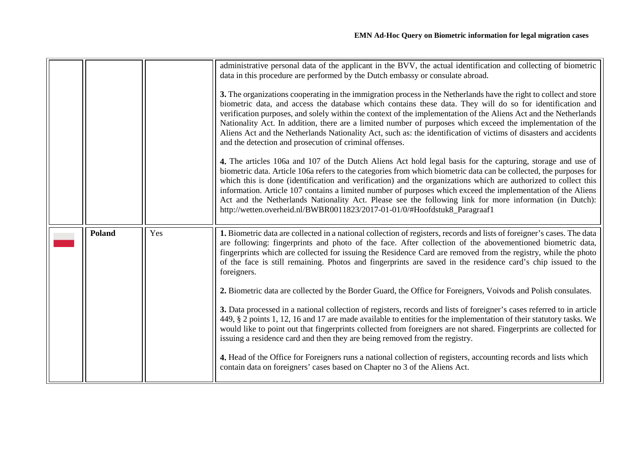<span id="page-11-0"></span>

|               |     | administrative personal data of the applicant in the BVV, the actual identification and collecting of biometric<br>data in this procedure are performed by the Dutch embassy or consulate abroad.<br>3. The organizations cooperating in the immigration process in the Netherlands have the right to collect and store<br>biometric data, and access the database which contains these data. They will do so for identification and<br>verification purposes, and solely within the context of the implementation of the Aliens Act and the Netherlands<br>Nationality Act. In addition, there are a limited number of purposes which exceed the implementation of the<br>Aliens Act and the Netherlands Nationality Act, such as: the identification of victims of disasters and accidents<br>and the detection and prosecution of criminal offenses.<br>4. The articles 106a and 107 of the Dutch Aliens Act hold legal basis for the capturing, storage and use of<br>biometric data. Article 106a refers to the categories from which biometric data can be collected, the purposes for<br>which this is done (identification and verification) and the organizations which are authorized to collect this<br>information. Article 107 contains a limited number of purposes which exceed the implementation of the Aliens<br>Act and the Netherlands Nationality Act. Please see the following link for more information (in Dutch):<br>http://wetten.overheid.nl/BWBR0011823/2017-01-01/0/#Hoofdstuk8_Paragraaf1 |
|---------------|-----|-------------------------------------------------------------------------------------------------------------------------------------------------------------------------------------------------------------------------------------------------------------------------------------------------------------------------------------------------------------------------------------------------------------------------------------------------------------------------------------------------------------------------------------------------------------------------------------------------------------------------------------------------------------------------------------------------------------------------------------------------------------------------------------------------------------------------------------------------------------------------------------------------------------------------------------------------------------------------------------------------------------------------------------------------------------------------------------------------------------------------------------------------------------------------------------------------------------------------------------------------------------------------------------------------------------------------------------------------------------------------------------------------------------------------------------------------------------------------------------------------------------------------|
| <b>Poland</b> | Yes | 1. Biometric data are collected in a national collection of registers, records and lists of foreigner's cases. The data<br>are following: fingerprints and photo of the face. After collection of the abovementioned biometric data,<br>fingerprints which are collected for issuing the Residence Card are removed from the registry, while the photo<br>of the face is still remaining. Photos and fingerprints are saved in the residence card's chip issued to the<br>foreigners.<br>2. Biometric data are collected by the Border Guard, the Office for Foreigners, Voivods and Polish consulates.<br>3. Data processed in a national collection of registers, records and lists of foreigner's cases referred to in article<br>449, § 2 points 1, 12, 16 and 17 are made available to entities for the implementation of their statutory tasks. We<br>would like to point out that fingerprints collected from foreigners are not shared. Fingerprints are collected for<br>issuing a residence card and then they are being removed from the registry.<br>4. Head of the Office for Foreigners runs a national collection of registers, accounting records and lists which<br>contain data on foreigners' cases based on Chapter no 3 of the Aliens Act.                                                                                                                                                                                                                                                         |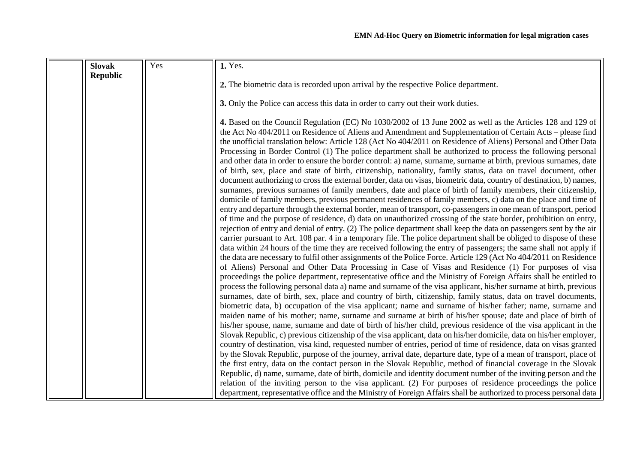<span id="page-12-0"></span>

| <b>Slovak</b>   | Yes | 1. Yes.                                                                                                                                                                                                                                                                                                                                                                                                                                                                                                                                                                                                                                                                                                                                                                                                                                                                                                                                                                                                                                                                                                                                                                                                                                                                                                                                                                                                                                                                                                                                                                                                                                                                                                                                                                                                                                                                                                                                                                                                                                                                                                                                            |
|-----------------|-----|----------------------------------------------------------------------------------------------------------------------------------------------------------------------------------------------------------------------------------------------------------------------------------------------------------------------------------------------------------------------------------------------------------------------------------------------------------------------------------------------------------------------------------------------------------------------------------------------------------------------------------------------------------------------------------------------------------------------------------------------------------------------------------------------------------------------------------------------------------------------------------------------------------------------------------------------------------------------------------------------------------------------------------------------------------------------------------------------------------------------------------------------------------------------------------------------------------------------------------------------------------------------------------------------------------------------------------------------------------------------------------------------------------------------------------------------------------------------------------------------------------------------------------------------------------------------------------------------------------------------------------------------------------------------------------------------------------------------------------------------------------------------------------------------------------------------------------------------------------------------------------------------------------------------------------------------------------------------------------------------------------------------------------------------------------------------------------------------------------------------------------------------------|
| <b>Republic</b> |     |                                                                                                                                                                                                                                                                                                                                                                                                                                                                                                                                                                                                                                                                                                                                                                                                                                                                                                                                                                                                                                                                                                                                                                                                                                                                                                                                                                                                                                                                                                                                                                                                                                                                                                                                                                                                                                                                                                                                                                                                                                                                                                                                                    |
|                 |     | 2. The biometric data is recorded upon arrival by the respective Police department.                                                                                                                                                                                                                                                                                                                                                                                                                                                                                                                                                                                                                                                                                                                                                                                                                                                                                                                                                                                                                                                                                                                                                                                                                                                                                                                                                                                                                                                                                                                                                                                                                                                                                                                                                                                                                                                                                                                                                                                                                                                                |
|                 |     | 3. Only the Police can access this data in order to carry out their work duties.                                                                                                                                                                                                                                                                                                                                                                                                                                                                                                                                                                                                                                                                                                                                                                                                                                                                                                                                                                                                                                                                                                                                                                                                                                                                                                                                                                                                                                                                                                                                                                                                                                                                                                                                                                                                                                                                                                                                                                                                                                                                   |
|                 |     | 4. Based on the Council Regulation (EC) No 1030/2002 of 13 June 2002 as well as the Articles 128 and 129 of<br>the Act No 404/2011 on Residence of Aliens and Amendment and Supplementation of Certain Acts - please find<br>the unofficial translation below: Article 128 (Act No 404/2011 on Residence of Aliens) Personal and Other Data<br>Processing in Border Control (1) The police department shall be authorized to process the following personal<br>and other data in order to ensure the border control: a) name, surname, surname at birth, previous surnames, date<br>of birth, sex, place and state of birth, citizenship, nationality, family status, data on travel document, other<br>document authorizing to cross the external border, data on visas, biometric data, country of destination, b) names,<br>surnames, previous surnames of family members, date and place of birth of family members, their citizenship,<br>domicile of family members, previous permanent residences of family members, c) data on the place and time of<br>entry and departure through the external border, mean of transport, co-passengers in one mean of transport, period<br>of time and the purpose of residence, d) data on unauthorized crossing of the state border, prohibition on entry,<br>rejection of entry and denial of entry. (2) The police department shall keep the data on passengers sent by the air<br>carrier pursuant to Art. 108 par. 4 in a temporary file. The police department shall be obliged to dispose of these<br>data within 24 hours of the time they are received following the entry of passengers; the same shall not apply if<br>the data are necessary to fulfil other assignments of the Police Force. Article 129 (Act No 404/2011 on Residence<br>of Aliens) Personal and Other Data Processing in Case of Visas and Residence (1) For purposes of visa<br>proceedings the police department, representative office and the Ministry of Foreign Affairs shall be entitled to<br>process the following personal data a) name and surname of the visa applicant, his/her surname at birth, previous |
|                 |     | surnames, date of birth, sex, place and country of birth, citizenship, family status, data on travel documents,<br>biometric data, b) occupation of the visa applicant; name and surname of his/her father; name, surname and<br>maiden name of his mother; name, surname and surname at birth of his/her spouse; date and place of birth of<br>his/her spouse, name, surname and date of birth of his/her child, previous residence of the visa applicant in the<br>Slovak Republic, c) previous citizenship of the visa applicant, data on his/her domicile, data on his/her employer,<br>country of destination, visa kind, requested number of entries, period of time of residence, data on visas granted<br>by the Slovak Republic, purpose of the journey, arrival date, departure date, type of a mean of transport, place of<br>the first entry, data on the contact person in the Slovak Republic, method of financial coverage in the Slovak<br>Republic, d) name, surname, date of birth, domicile and identity document number of the inviting person and the<br>relation of the inviting person to the visa applicant. (2) For purposes of residence proceedings the police<br>department, representative office and the Ministry of Foreign Affairs shall be authorized to process personal data                                                                                                                                                                                                                                                                                                                                                                                                                                                                                                                                                                                                                                                                                                                                                                                                                                    |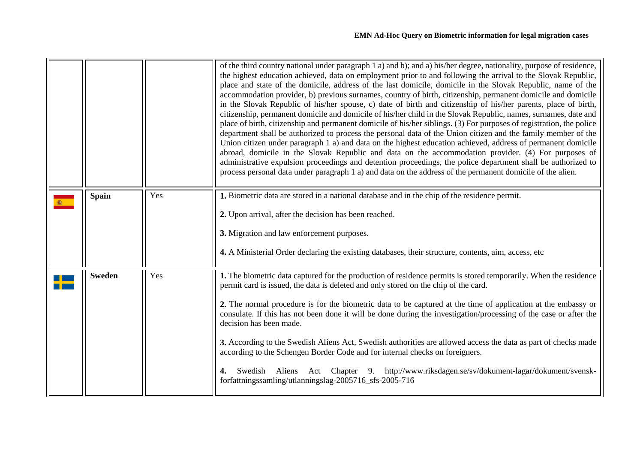<span id="page-13-1"></span><span id="page-13-0"></span>

|               |     | of the third country national under paragraph 1 a) and b); and a) his/her degree, nationality, purpose of residence,<br>the highest education achieved, data on employment prior to and following the arrival to the Slovak Republic,<br>place and state of the domicile, address of the last domicile, domicile in the Slovak Republic, name of the<br>accommodation provider, b) previous surnames, country of birth, citizenship, permanent domicile and domicile<br>in the Slovak Republic of his/her spouse, c) date of birth and citizenship of his/her parents, place of birth,<br>citizenship, permanent domicile and domicile of his/her child in the Slovak Republic, names, surnames, date and<br>place of birth, citizenship and permanent domicile of his/her siblings. (3) For purposes of registration, the police<br>department shall be authorized to process the personal data of the Union citizen and the family member of the<br>Union citizen under paragraph 1 a) and data on the highest education achieved, address of permanent domicile<br>abroad, domicile in the Slovak Republic and data on the accommodation provider. (4) For purposes of<br>administrative expulsion proceedings and detention proceedings, the police department shall be authorized to<br>process personal data under paragraph 1 a) and data on the address of the permanent domicile of the alien. |
|---------------|-----|---------------------------------------------------------------------------------------------------------------------------------------------------------------------------------------------------------------------------------------------------------------------------------------------------------------------------------------------------------------------------------------------------------------------------------------------------------------------------------------------------------------------------------------------------------------------------------------------------------------------------------------------------------------------------------------------------------------------------------------------------------------------------------------------------------------------------------------------------------------------------------------------------------------------------------------------------------------------------------------------------------------------------------------------------------------------------------------------------------------------------------------------------------------------------------------------------------------------------------------------------------------------------------------------------------------------------------------------------------------------------------------------------------|
| <b>Spain</b>  | Yes | 1. Biometric data are stored in a national database and in the chip of the residence permit.<br>2. Upon arrival, after the decision has been reached.<br>3. Migration and law enforcement purposes.<br>4. A Ministerial Order declaring the existing databases, their structure, contents, aim, access, etc                                                                                                                                                                                                                                                                                                                                                                                                                                                                                                                                                                                                                                                                                                                                                                                                                                                                                                                                                                                                                                                                                             |
| <b>Sweden</b> | Yes | 1. The biometric data captured for the production of residence permits is stored temporarily. When the residence<br>permit card is issued, the data is deleted and only stored on the chip of the card.<br>2. The normal procedure is for the biometric data to be captured at the time of application at the embassy or<br>consulate. If this has not been done it will be done during the investigation/processing of the case or after the<br>decision has been made.<br>3. According to the Swedish Aliens Act, Swedish authorities are allowed access the data as part of checks made<br>according to the Schengen Border Code and for internal checks on foreigners.<br>Swedish Aliens Act Chapter 9. http://www.riksdagen.se/sv/dokument-lagar/dokument/svensk-<br>4.<br>forfattningssamling/utlanningslag-2005716_sfs-2005-716                                                                                                                                                                                                                                                                                                                                                                                                                                                                                                                                                                  |